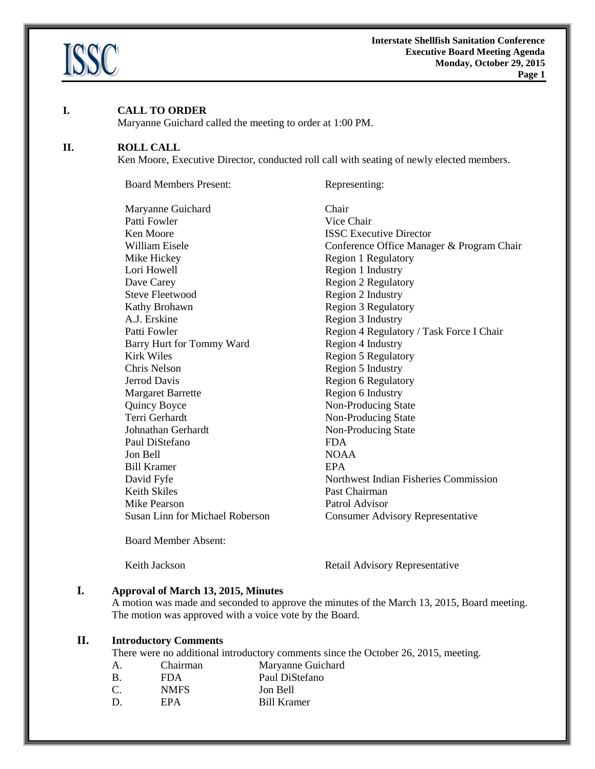

### **I. CALL TO ORDER**

Maryanne Guichard called the meeting to order at 1:00 PM.

## **II. ROLL CALL**

Ken Moore, Executive Director, conducted roll call with seating of newly elected members.

Board Members Present: Representing:

Maryanne Guichard Chair Patti Fowler Vice Chair **Ken Moore ISSC Executive Director** Mike Hickey Region 1 Regulatory Lori Howell Region 1 Industry Dave Carey **Region 2 Region 2 Regulatory** Steve Fleetwood Region 2 Industry Kathy Brohawn Region 3 Regulatory A.J. Erskine Region 3 Industry Barry Hurt for Tommy Ward Region 4 Industry Kirk Wiles Region 5 Regulatory Chris Nelson Region 5 Industry Jerrod Davis Region 6 Regulatory Margaret Barrette Region 6 Industry Quincy Boyce Non-Producing State Terri Gerhardt Non-Producing State Johnathan Gerhardt Non-Producing State Paul DiStefano FDA Jon Bell NOAA Bill Kramer **EPA** David Fyfe **Northwest** Indian Fisheries Commission Keith Skiles **Past Chairman** Mike Pearson Patrol Advisor Susan Linn for Michael Roberson Consumer Advisory Representative

William Eisele **Conference Office Manager & Program Chair** Patti Fowler **Region 4 Regulatory / Task Force I Chair** 

Board Member Absent:

Keith Jackson Retail Advisory Representative

#### **I. Approval of March 13, 2015, Minutes**

A motion was made and seconded to approve the minutes of the March 13, 2015, Board meeting. The motion was approved with a voice vote by the Board.

## **II. Introductory Comments**

There were no additional introductory comments since the October 26, 2015, meeting.

- A. Chairman Maryanne Guichard
- B. FDA Paul DiStefano
- C. NMFS Jon Bell
- D. EPA Bill Kramer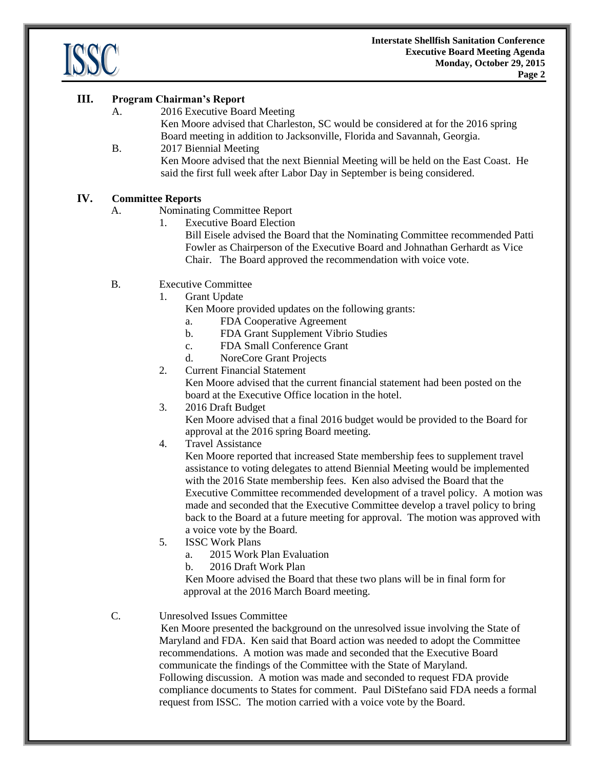



- A. 2016 Executive Board Meeting Ken Moore advised that Charleston, SC would be considered at for the 2016 spring Board meeting in addition to Jacksonville, Florida and Savannah, Georgia.
- B. 2017 Biennial Meeting Ken Moore advised that the next Biennial Meeting will be held on the East Coast. He said the first full week after Labor Day in September is being considered.

# **IV. Committee Reports**

- A. Nominating Committee Report
	- 1. Executive Board Election
		- Bill Eisele advised the Board that the Nominating Committee recommended Patti Fowler as Chairperson of the Executive Board and Johnathan Gerhardt as Vice Chair. The Board approved the recommendation with voice vote.
- B. Executive Committee
	- 1. Grant Update
		- Ken Moore provided updates on the following grants:
		- a. FDA Cooperative Agreement
		- b. FDA Grant Supplement Vibrio Studies
		- c. FDA Small Conference Grant
		- d. NoreCore Grant Projects
	- 2. Current Financial Statement

Ken Moore advised that the current financial statement had been posted on the board at the Executive Office location in the hotel.

3. 2016 Draft Budget

Ken Moore advised that a final 2016 budget would be provided to the Board for approval at the 2016 spring Board meeting.

4. Travel Assistance

Ken Moore reported that increased State membership fees to supplement travel assistance to voting delegates to attend Biennial Meeting would be implemented with the 2016 State membership fees. Ken also advised the Board that the Executive Committee recommended development of a travel policy. A motion was made and seconded that the Executive Committee develop a travel policy to bring back to the Board at a future meeting for approval. The motion was approved with a voice vote by the Board.

- 5. ISSC Work Plans
	- a. 2015 Work Plan Evaluation
	- b. 2016 Draft Work Plan

Ken Moore advised the Board that these two plans will be in final form for approval at the 2016 March Board meeting.

## C. Unresolved Issues Committee

Ken Moore presented the background on the unresolved issue involving the State of Maryland and FDA. Ken said that Board action was needed to adopt the Committee recommendations. A motion was made and seconded that the Executive Board communicate the findings of the Committee with the State of Maryland. Following discussion. A motion was made and seconded to request FDA provide compliance documents to States for comment. Paul DiStefano said FDA needs a formal request from ISSC. The motion carried with a voice vote by the Board.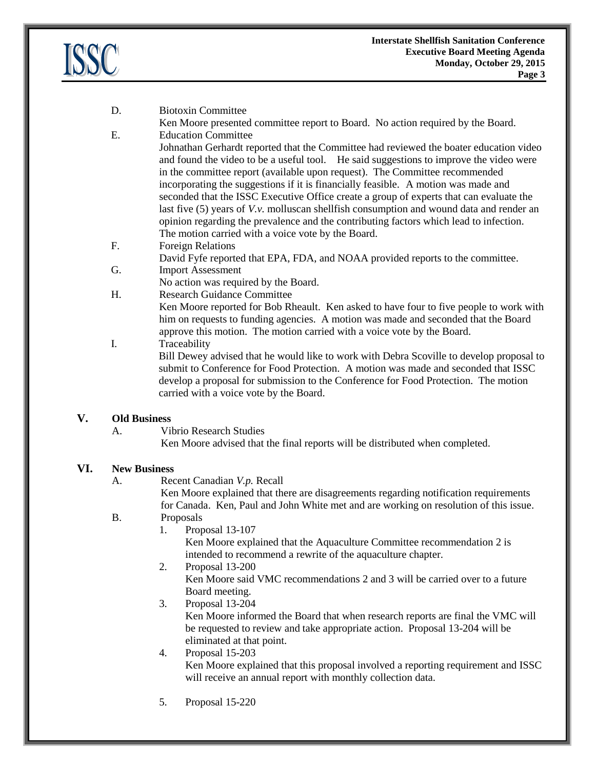

## D. Biotoxin Committee

Ken Moore presented committee report to Board. No action required by the Board.

## E. Education Committee

Johnathan Gerhardt reported that the Committee had reviewed the boater education video and found the video to be a useful tool. He said suggestions to improve the video were in the committee report (available upon request). The Committee recommended incorporating the suggestions if it is financially feasible. A motion was made and seconded that the ISSC Executive Office create a group of experts that can evaluate the last five (5) years of *V.v.* molluscan shellfish consumption and wound data and render an opinion regarding the prevalence and the contributing factors which lead to infection. The motion carried with a voice vote by the Board.

F. Foreign Relations

David Fyfe reported that EPA, FDA, and NOAA provided reports to the committee.

G. Import Assessment

No action was required by the Board.

H. Research Guidance Committee

Ken Moore reported for Bob Rheault. Ken asked to have four to five people to work with him on requests to funding agencies. A motion was made and seconded that the Board approve this motion. The motion carried with a voice vote by the Board.

# I. Traceability

Bill Dewey advised that he would like to work with Debra Scoville to develop proposal to submit to Conference for Food Protection. A motion was made and seconded that ISSC develop a proposal for submission to the Conference for Food Protection. The motion carried with a voice vote by the Board.

## **V. Old Business**

A. Vibrio Research Studies

Ken Moore advised that the final reports will be distributed when completed.

## **VI. New Business**

A. Recent Canadian *V.p.* Recall

Ken Moore explained that there are disagreements regarding notification requirements for Canada. Ken, Paul and John White met and are working on resolution of this issue.

# B. Proposals

1. Proposal 13-107

Ken Moore explained that the Aquaculture Committee recommendation 2 is intended to recommend a rewrite of the aquaculture chapter.

- 2. Proposal 13-200 Ken Moore said VMC recommendations 2 and 3 will be carried over to a future
	- Board meeting.
- 3. Proposal 13-204

Ken Moore informed the Board that when research reports are final the VMC will be requested to review and take appropriate action. Proposal 13-204 will be eliminated at that point.

4. Proposal 15-203

Ken Moore explained that this proposal involved a reporting requirement and ISSC will receive an annual report with monthly collection data.

5. Proposal 15-220